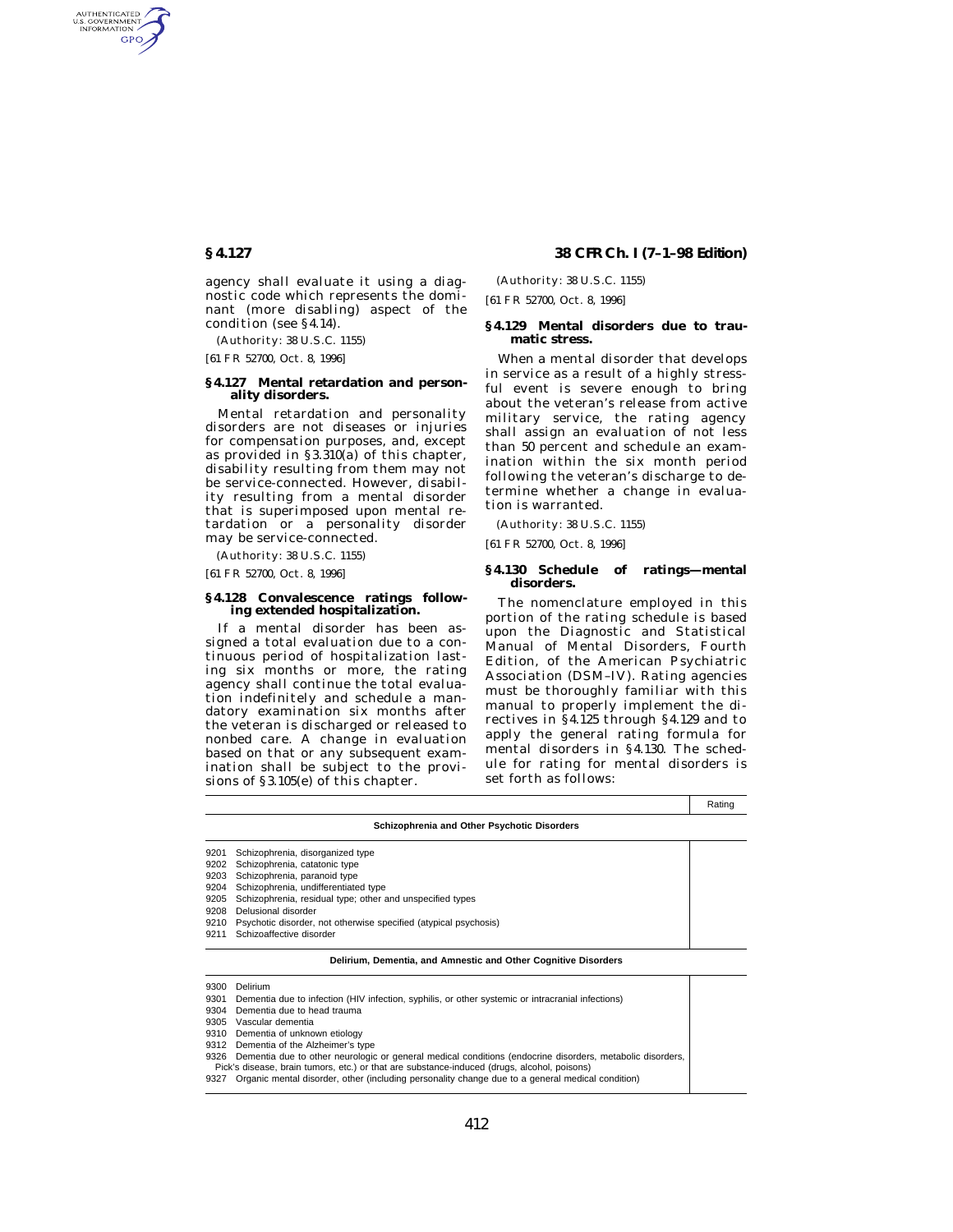AUTHENTICATED<br>U.S. GOVERNMENT<br>INFORMATION **GPO** 

> agency shall evaluate it using a diagnostic code which represents the dominant (more disabling) aspect of the condition (see §4.14).

(Authority: 38 U.S.C. 1155)

[61 FR 52700, Oct. 8, 1996]

## **§ 4.127 Mental retardation and personality disorders.**

Mental retardation and personality disorders are not diseases or injuries for compensation purposes, and, except as provided in § 3.310(a) of this chapter, disability resulting from them may not be service-connected. However, disability resulting from a mental disorder that is superimposed upon mental retardation or a personality disorder may be service-connected.

(Authority: 38 U.S.C. 1155)

[61 FR 52700, Oct. 8, 1996]

# **§ 4.128 Convalescence ratings follow- ing extended hospitalization.**

If a mental disorder has been assigned a total evaluation due to a continuous period of hospitalization lasting six months or more, the rating agency shall continue the total evaluation indefinitely and schedule a mandatory examination six months after the veteran is discharged or released to nonbed care. A change in evaluation based on that or any subsequent examination shall be subject to the provisions of §3.105(e) of this chapter.

## **§ 4.127 38 CFR Ch. I (7–1–98 Edition)**

(Authority: 38 U.S.C. 1155)

[61 FR 52700, Oct. 8, 1996]

## **§ 4.129 Mental disorders due to traumatic stress.**

When a mental disorder that develops in service as a result of a highly stressful event is severe enough to bring about the veteran's release from active military service, the rating agency shall assign an evaluation of not less than 50 percent and schedule an examination within the six month period following the veteran's discharge to determine whether a change in evaluation is warranted.

(Authority: 38 U.S.C. 1155)

[61 FR 52700, Oct. 8, 1996]

### **§ 4.130 Schedule of ratings—mental disorders.**

The nomenclature employed in this portion of the rating schedule is based upon the Diagnostic and Statistical Manual of Mental Disorders, Fourth Edition, of the American Psychiatric Association (DSM–IV). Rating agencies must be thoroughly familiar with this manual to properly implement the directives in § 4.125 through § 4.129 and to apply the general rating formula for mental disorders in § 4.130. The schedule for rating for mental disorders is set forth as follows:

 $\overline{\phantom{a}}$  Rating

|      |                                                                                                   | 1.99 |  |  |  |  |
|------|---------------------------------------------------------------------------------------------------|------|--|--|--|--|
|      | Schizophrenia and Other Psychotic Disorders                                                       |      |  |  |  |  |
| 9201 | Schizophrenia, disorganized type                                                                  |      |  |  |  |  |
| 9202 | Schizophrenia, catatonic type                                                                     |      |  |  |  |  |
| 9203 | Schizophrenia, paranoid type                                                                      |      |  |  |  |  |
| 9204 | Schizophrenia, undifferentiated type                                                              |      |  |  |  |  |
| 9205 | Schizophrenia, residual type; other and unspecified types                                         |      |  |  |  |  |
| 9208 | Delusional disorder                                                                               |      |  |  |  |  |
| 9210 | Psychotic disorder, not otherwise specified (atypical psychosis)                                  |      |  |  |  |  |
| 9211 | Schizoaffective disorder                                                                          |      |  |  |  |  |
|      | Delirium, Dementia, and Amnestic and Other Cognitive Disorders                                    |      |  |  |  |  |
| 9300 | Delirium                                                                                          |      |  |  |  |  |
| 9301 | Dementia due to infection (HIV infection, syphilis, or other systemic or intracranial infections) |      |  |  |  |  |
| 9304 | Dementia due to head trauma                                                                       |      |  |  |  |  |
|      | 9305 Vascular dementia                                                                            |      |  |  |  |  |

<sup>9305</sup> Vascular dementia

9326 Dementia due to other neurologic or general medical conditions (endocrine disorders, metabolic disorders, Pick's disease, brain tumors, etc.) or that are substance-induced (drugs, alcohol, poisons)

<sup>9310</sup> Dementia of unknown etiology

<sup>9312</sup> Dementia of the Alzheimer's type

<sup>9327</sup> Organic mental disorder, other (including personality change due to a general medical condition)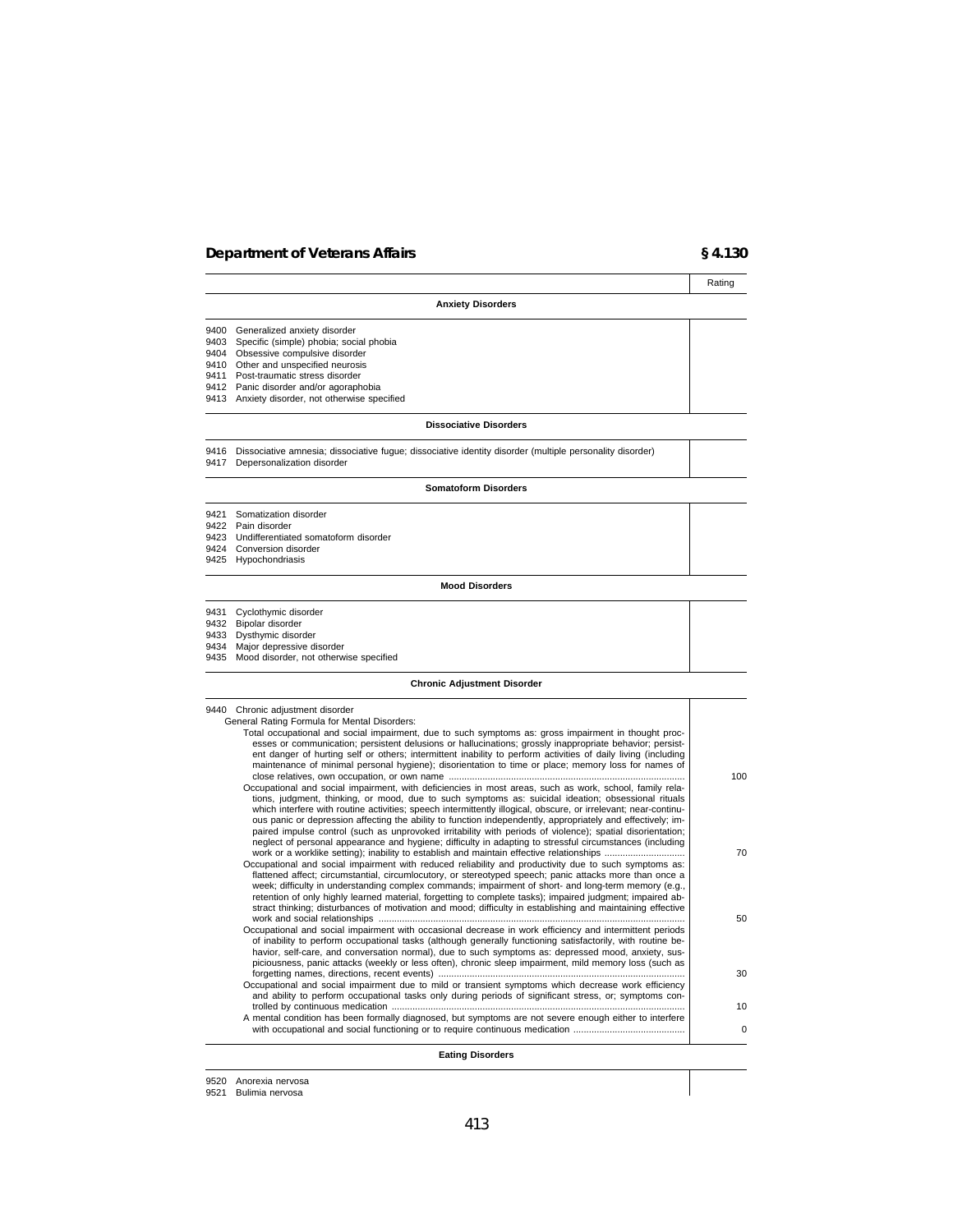## **Department of Veterans Affairs § 4.130**

 $\overline{\phantom{a}}$ 

|                          |                                                                                                                                                                                                                           | Rating      |  |
|--------------------------|---------------------------------------------------------------------------------------------------------------------------------------------------------------------------------------------------------------------------|-------------|--|
| <b>Anxiety Disorders</b> |                                                                                                                                                                                                                           |             |  |
|                          | 9400 Generalized anxiety disorder                                                                                                                                                                                         |             |  |
| 9403                     | Specific (simple) phobia; social phobia                                                                                                                                                                                   |             |  |
|                          | 9404 Obsessive compulsive disorder                                                                                                                                                                                        |             |  |
|                          | 9410 Other and unspecified neurosis                                                                                                                                                                                       |             |  |
| 9411                     | Post-traumatic stress disorder                                                                                                                                                                                            |             |  |
|                          | 9412 Panic disorder and/or agoraphobia<br>9413 Anxiety disorder, not otherwise specified                                                                                                                                  |             |  |
|                          | <b>Dissociative Disorders</b>                                                                                                                                                                                             |             |  |
| 9416<br>9417             | Dissociative amnesia; dissociative fugue; dissociative identity disorder (multiple personality disorder)<br>Depersonalization disorder                                                                                    |             |  |
|                          | <b>Somatoform Disorders</b>                                                                                                                                                                                               |             |  |
| 9421                     | Somatization disorder                                                                                                                                                                                                     |             |  |
| 9422                     | Pain disorder                                                                                                                                                                                                             |             |  |
| 9423                     | Undifferentiated somatoform disorder                                                                                                                                                                                      |             |  |
| 9424                     | Conversion disorder                                                                                                                                                                                                       |             |  |
|                          | 9425 Hypochondriasis                                                                                                                                                                                                      |             |  |
|                          | <b>Mood Disorders</b>                                                                                                                                                                                                     |             |  |
| 9431                     | Cyclothymic disorder                                                                                                                                                                                                      |             |  |
| 9432                     | Bipolar disorder                                                                                                                                                                                                          |             |  |
| 9433                     | Dysthymic disorder                                                                                                                                                                                                        |             |  |
| 9434                     | Major depressive disorder                                                                                                                                                                                                 |             |  |
|                          | 9435 Mood disorder, not otherwise specified                                                                                                                                                                               |             |  |
|                          | <b>Chronic Adjustment Disorder</b>                                                                                                                                                                                        |             |  |
|                          | 9440 Chronic adjustment disorder                                                                                                                                                                                          |             |  |
|                          | General Rating Formula for Mental Disorders:                                                                                                                                                                              |             |  |
|                          | Total occupational and social impairment, due to such symptoms as: gross impairment in thought proc-                                                                                                                      |             |  |
|                          | esses or communication; persistent delusions or hallucinations; grossly inappropriate behavior; persist-<br>ent danger of hurting self or others; intermittent inability to perform activities of daily living (including |             |  |
|                          | maintenance of minimal personal hygiene); disorientation to time or place; memory loss for names of                                                                                                                       |             |  |
|                          |                                                                                                                                                                                                                           | 100         |  |
|                          | Occupational and social impairment, with deficiencies in most areas, such as work, school, family rela-                                                                                                                   |             |  |
|                          | tions, judgment, thinking, or mood, due to such symptoms as: suicidal ideation; obsessional rituals                                                                                                                       |             |  |
|                          | which interfere with routine activities; speech intermittently illogical, obscure, or irrelevant; near-continu-                                                                                                           |             |  |
|                          | ous panic or depression affecting the ability to function independently, appropriately and effectively; im-<br>paired impulse control (such as unprovoked irritability with periods of violence); spatial disorientation; |             |  |
|                          | neglect of personal appearance and hygiene; difficulty in adapting to stressful circumstances (including                                                                                                                  |             |  |
|                          |                                                                                                                                                                                                                           | 70          |  |
|                          | Occupational and social impairment with reduced reliability and productivity due to such symptoms as:                                                                                                                     |             |  |
|                          | flattened affect; circumstantial, circumlocutory, or stereotyped speech; panic attacks more than once a                                                                                                                   |             |  |
|                          | week; difficulty in understanding complex commands; impairment of short- and long-term memory (e.g.,                                                                                                                      |             |  |
|                          | retention of only highly learned material, forgetting to complete tasks); impaired judgment; impaired ab-                                                                                                                 |             |  |
|                          | stract thinking; disturbances of motivation and mood; difficulty in establishing and maintaining effective                                                                                                                | 50          |  |
|                          | Occupational and social impairment with occasional decrease in work efficiency and intermittent periods                                                                                                                   |             |  |
|                          | of inability to perform occupational tasks (although generally functioning satisfactorily, with routine be-                                                                                                               |             |  |
|                          | havior, self-care, and conversation normal), due to such symptoms as: depressed mood, anxiety, sus-                                                                                                                       |             |  |
|                          | piciousness, panic attacks (weekly or less often), chronic sleep impairment, mild memory loss (such as                                                                                                                    |             |  |
|                          |                                                                                                                                                                                                                           | 30          |  |
|                          | Occupational and social impairment due to mild or transient symptoms which decrease work efficiency                                                                                                                       |             |  |
|                          | and ability to perform occupational tasks only during periods of significant stress, or; symptoms con-                                                                                                                    | 10          |  |
|                          | A mental condition has been formally diagnosed, but symptoms are not severe enough either to interfere                                                                                                                    |             |  |
|                          |                                                                                                                                                                                                                           | $\mathbf 0$ |  |
|                          |                                                                                                                                                                                                                           |             |  |
|                          | Intina Dioardar                                                                                                                                                                                                           |             |  |

**Eating Disorders**

<sup>9520</sup> Anorexia nervosa 9521 Bulimia nervosa